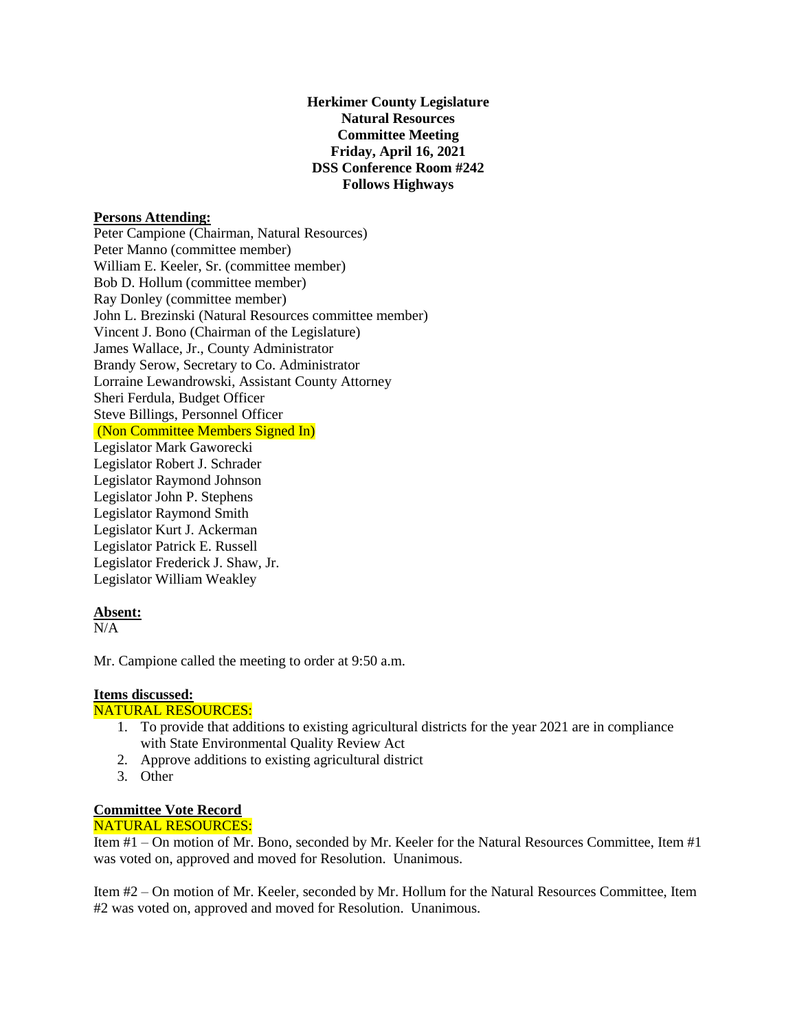# **Herkimer County Legislature Natural Resources Committee Meeting Friday, April 16, 2021 DSS Conference Room #242 Follows Highways**

### **Persons Attending:**

Peter Campione (Chairman, Natural Resources) Peter Manno (committee member) William E. Keeler, Sr. (committee member) Bob D. Hollum (committee member) Ray Donley (committee member) John L. Brezinski (Natural Resources committee member) Vincent J. Bono (Chairman of the Legislature) James Wallace, Jr., County Administrator Brandy Serow, Secretary to Co. Administrator Lorraine Lewandrowski, Assistant County Attorney Sheri Ferdula, Budget Officer Steve Billings, Personnel Officer (Non Committee Members Signed In) Legislator Mark Gaworecki Legislator Robert J. Schrader Legislator Raymond Johnson Legislator John P. Stephens Legislator Raymond Smith Legislator Kurt J. Ackerman Legislator Patrick E. Russell Legislator Frederick J. Shaw, Jr.

#### **Absent:**

 $N/A$ 

Mr. Campione called the meeting to order at 9:50 a.m.

## **Items discussed:**

## NATURAL RESOURCES:

Legislator William Weakley

- 1. To provide that additions to existing agricultural districts for the year 2021 are in compliance with State Environmental Quality Review Act
- 2. Approve additions to existing agricultural district
- 3. Other

#### **Committee Vote Record**

## NATURAL RESOURCES:

Item #1 – On motion of Mr. Bono, seconded by Mr. Keeler for the Natural Resources Committee, Item #1 was voted on, approved and moved for Resolution. Unanimous.

Item #2 – On motion of Mr. Keeler, seconded by Mr. Hollum for the Natural Resources Committee, Item #2 was voted on, approved and moved for Resolution. Unanimous.